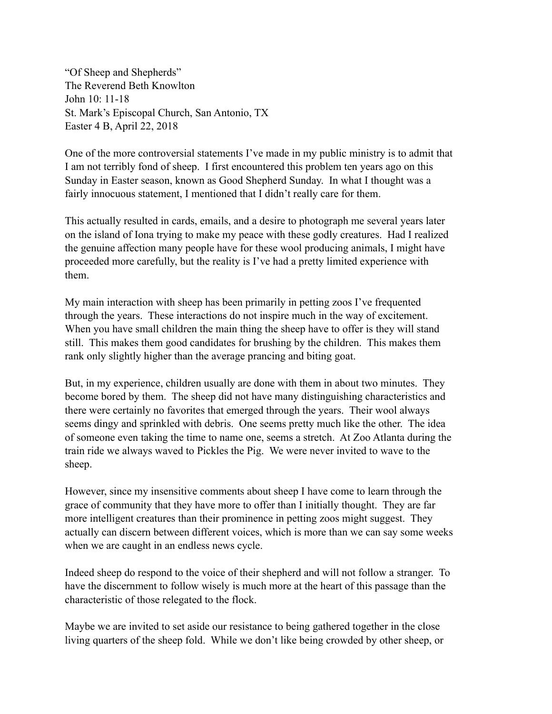"Of Sheep and Shepherds" The Reverend Beth Knowlton John 10: 11-18 St. Mark's Episcopal Church, San Antonio, TX Easter 4 B, April 22, 2018

One of the more controversial statements I've made in my public ministry is to admit that I am not terribly fond of sheep. I first encountered this problem ten years ago on this Sunday in Easter season, known as Good Shepherd Sunday. In what I thought was a fairly innocuous statement, I mentioned that I didn't really care for them.

This actually resulted in cards, emails, and a desire to photograph me several years later on the island of Iona trying to make my peace with these godly creatures. Had I realized the genuine affection many people have for these wool producing animals, I might have proceeded more carefully, but the reality is I've had a pretty limited experience with them.

My main interaction with sheep has been primarily in petting zoos I've frequented through the years. These interactions do not inspire much in the way of excitement. When you have small children the main thing the sheep have to offer is they will stand still. This makes them good candidates for brushing by the children. This makes them rank only slightly higher than the average prancing and biting goat.

But, in my experience, children usually are done with them in about two minutes. They become bored by them. The sheep did not have many distinguishing characteristics and there were certainly no favorites that emerged through the years. Their wool always seems dingy and sprinkled with debris. One seems pretty much like the other. The idea of someone even taking the time to name one, seems a stretch. At Zoo Atlanta during the train ride we always waved to Pickles the Pig. We were never invited to wave to the sheep.

However, since my insensitive comments about sheep I have come to learn through the grace of community that they have more to offer than I initially thought. They are far more intelligent creatures than their prominence in petting zoos might suggest. They actually can discern between different voices, which is more than we can say some weeks when we are caught in an endless news cycle.

Indeed sheep do respond to the voice of their shepherd and will not follow a stranger. To have the discernment to follow wisely is much more at the heart of this passage than the characteristic of those relegated to the flock.

Maybe we are invited to set aside our resistance to being gathered together in the close living quarters of the sheep fold. While we don't like being crowded by other sheep, or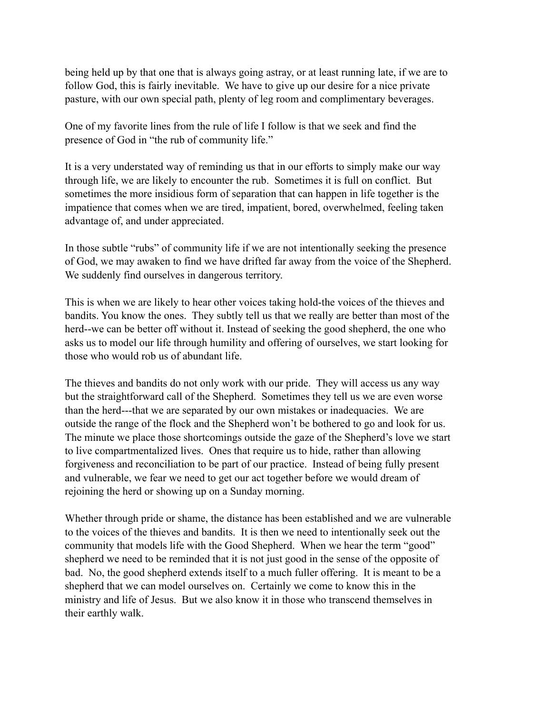being held up by that one that is always going astray, or at least running late, if we are to follow God, this is fairly inevitable. We have to give up our desire for a nice private pasture, with our own special path, plenty of leg room and complimentary beverages.

One of my favorite lines from the rule of life I follow is that we seek and find the presence of God in "the rub of community life."

It is a very understated way of reminding us that in our efforts to simply make our way through life, we are likely to encounter the rub. Sometimes it is full on conflict. But sometimes the more insidious form of separation that can happen in life together is the impatience that comes when we are tired, impatient, bored, overwhelmed, feeling taken advantage of, and under appreciated.

In those subtle "rubs" of community life if we are not intentionally seeking the presence of God, we may awaken to find we have drifted far away from the voice of the Shepherd. We suddenly find ourselves in dangerous territory.

This is when we are likely to hear other voices taking hold-the voices of the thieves and bandits. You know the ones. They subtly tell us that we really are better than most of the herd--we can be better off without it. Instead of seeking the good shepherd, the one who asks us to model our life through humility and offering of ourselves, we start looking for those who would rob us of abundant life.

The thieves and bandits do not only work with our pride. They will access us any way but the straightforward call of the Shepherd. Sometimes they tell us we are even worse than the herd---that we are separated by our own mistakes or inadequacies. We are outside the range of the flock and the Shepherd won't be bothered to go and look for us. The minute we place those shortcomings outside the gaze of the Shepherd's love we start to live compartmentalized lives. Ones that require us to hide, rather than allowing forgiveness and reconciliation to be part of our practice. Instead of being fully present and vulnerable, we fear we need to get our act together before we would dream of rejoining the herd or showing up on a Sunday morning.

Whether through pride or shame, the distance has been established and we are vulnerable to the voices of the thieves and bandits. It is then we need to intentionally seek out the community that models life with the Good Shepherd. When we hear the term "good" shepherd we need to be reminded that it is not just good in the sense of the opposite of bad. No, the good shepherd extends itself to a much fuller offering. It is meant to be a shepherd that we can model ourselves on. Certainly we come to know this in the ministry and life of Jesus. But we also know it in those who transcend themselves in their earthly walk.